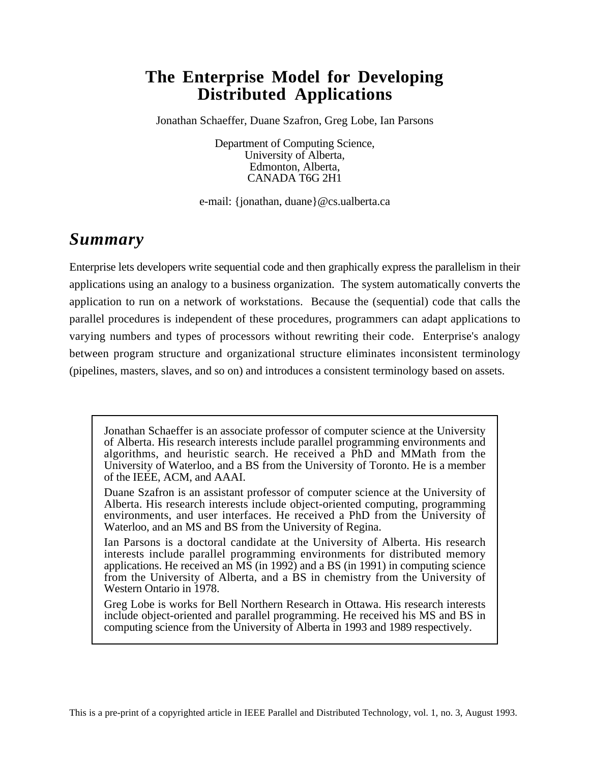# **The Enterprise Model for Developing Distributed Applications**

Jonathan Schaeffer, Duane Szafron, Greg Lobe, Ian Parsons

Department of Computing Science, University of Alberta, Edmonton, Alberta, CANADA T6G 2H1

e-mail: {jonathan, duane}@cs.ualberta.ca

# *Summary*

Enterprise lets developers write sequential code and then graphically express the parallelism in their applications using an analogy to a business organization. The system automatically converts the application to run on a network of workstations. Because the (sequential) code that calls the parallel procedures is independent of these procedures, programmers can adapt applications to varying numbers and types of processors without rewriting their code. Enterprise's analogy between program structure and organizational structure eliminates inconsistent terminology (pipelines, masters, slaves, and so on) and introduces a consistent terminology based on assets.

Jonathan Schaeffer is an associate professor of computer science at the University of Alberta. His research interests include parallel programming environments and algorithms, and heuristic search. He received a PhD and MMath from the University of Waterloo, and a BS from the University of Toronto. He is a member of the IEEE, ACM, and AAAI.

Duane Szafron is an assistant professor of computer science at the University of Alberta. His research interests include object-oriented computing, programming environments, and user interfaces. He received a PhD from the University of Waterloo, and an MS and BS from the University of Regina.

Ian Parsons is a doctoral candidate at the University of Alberta. His research interests include parallel programming environments for distributed memory applications. He received an  $\overline{MS}$  (in 1992) and a BS (in 1991) in computing science from the University of Alberta, and a BS in chemistry from the University of Western Ontario in 1978.

Greg Lobe is works for Bell Northern Research in Ottawa. His research interests include object-oriented and parallel programming. He received his MS and BS in computing science from the University of Alberta in 1993 and 1989 respectively.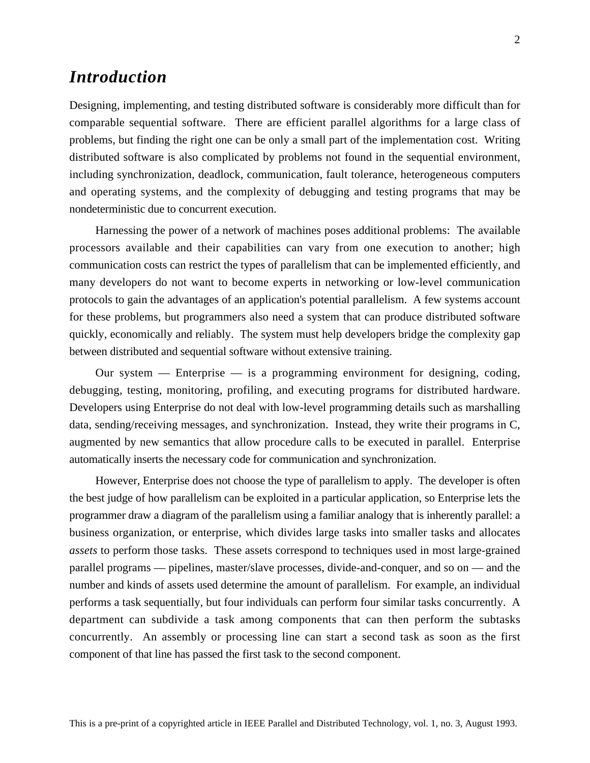## *Introduction*

Designing, implementing, and testing distributed software is considerably more difficult than for comparable sequential software. There are efficient parallel algorithms for a large class of problems, but finding the right one can be only a small part of the implementation cost. Writing distributed software is also complicated by problems not found in the sequential environment, including synchronization, deadlock, communication, fault tolerance, heterogeneous computers and operating systems, and the complexity of debugging and testing programs that may be nondeterministic due to concurrent execution.

Harnessing the power of a network of machines poses additional problems: The available processors available and their capabilities can vary from one execution to another; high communication costs can restrict the types of parallelism that can be implemented efficiently, and many developers do not want to become experts in networking or low-level communication protocols to gain the advantages of an application's potential parallelism. A few systems account for these problems, but programmers also need a system that can produce distributed software quickly, economically and reliably. The system must help developers bridge the complexity gap between distributed and sequential software without extensive training.

Our system — Enterprise — is a programming environment for designing, coding, debugging, testing, monitoring, profiling, and executing programs for distributed hardware. Developers using Enterprise do not deal with low-level programming details such as marshalling data, sending/receiving messages, and synchronization. Instead, they write their programs in C, augmented by new semantics that allow procedure calls to be executed in parallel. Enterprise automatically inserts the necessary code for communication and synchronization.

However, Enterprise does not choose the type of parallelism to apply. The developer is often the best judge of how parallelism can be exploited in a particular application, so Enterprise lets the programmer draw a diagram of the parallelism using a familiar analogy that is inherently parallel: a business organization, or enterprise, which divides large tasks into smaller tasks and allocates *assets* to perform those tasks. These assets correspond to techniques used in most large-grained parallel programs — pipelines, master/slave processes, divide-and-conquer, and so on — and the number and kinds of assets used determine the amount of parallelism. For example, an individual performs a task sequentially, but four individuals can perform four similar tasks concurrently. A department can subdivide a task among components that can then perform the subtasks concurrently. An assembly or processing line can start a second task as soon as the first component of that line has passed the first task to the second component.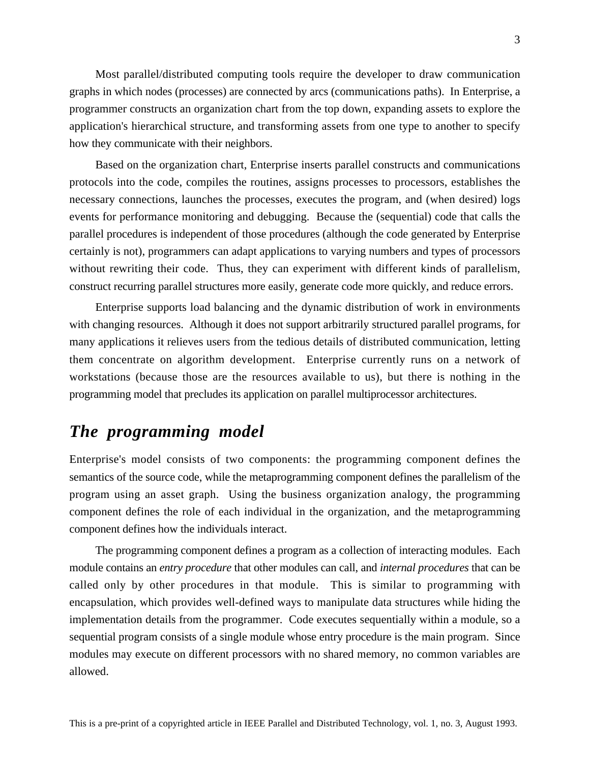Most parallel/distributed computing tools require the developer to draw communication graphs in which nodes (processes) are connected by arcs (communications paths). In Enterprise, a programmer constructs an organization chart from the top down, expanding assets to explore the application's hierarchical structure, and transforming assets from one type to another to specify how they communicate with their neighbors.

Based on the organization chart, Enterprise inserts parallel constructs and communications protocols into the code, compiles the routines, assigns processes to processors, establishes the necessary connections, launches the processes, executes the program, and (when desired) logs events for performance monitoring and debugging. Because the (sequential) code that calls the parallel procedures is independent of those procedures (although the code generated by Enterprise certainly is not), programmers can adapt applications to varying numbers and types of processors without rewriting their code. Thus, they can experiment with different kinds of parallelism, construct recurring parallel structures more easily, generate code more quickly, and reduce errors.

Enterprise supports load balancing and the dynamic distribution of work in environments with changing resources. Although it does not support arbitrarily structured parallel programs, for many applications it relieves users from the tedious details of distributed communication, letting them concentrate on algorithm development. Enterprise currently runs on a network of workstations (because those are the resources available to us), but there is nothing in the programming model that precludes its application on parallel multiprocessor architectures.

# *The programming model*

Enterprise's model consists of two components: the programming component defines the semantics of the source code, while the metaprogramming component defines the parallelism of the program using an asset graph. Using the business organization analogy, the programming component defines the role of each individual in the organization, and the metaprogramming component defines how the individuals interact.

The programming component defines a program as a collection of interacting modules. Each module contains an *entry procedure* that other modules can call, and *internal procedures* that can be called only by other procedures in that module. This is similar to programming with encapsulation, which provides well-defined ways to manipulate data structures while hiding the implementation details from the programmer. Code executes sequentially within a module, so a sequential program consists of a single module whose entry procedure is the main program. Since modules may execute on different processors with no shared memory, no common variables are allowed.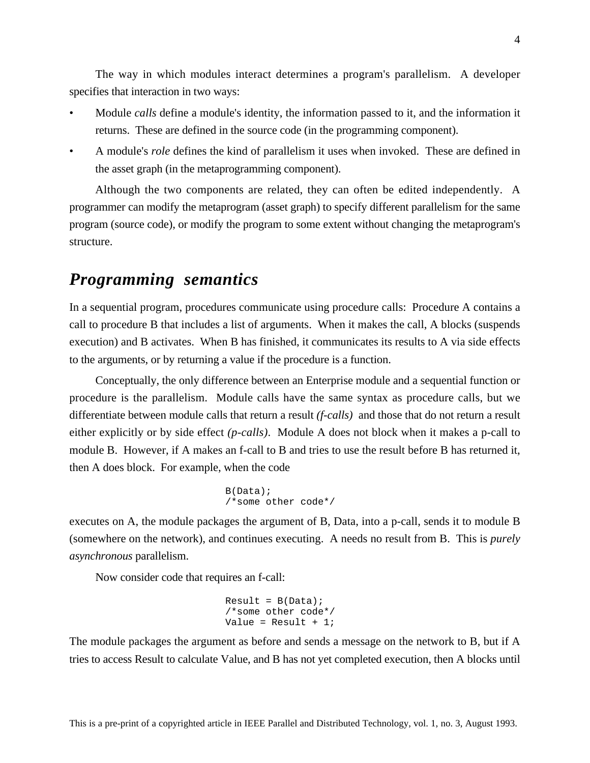The way in which modules interact determines a program's parallelism. A developer specifies that interaction in two ways:

- Module *calls* define a module's identity, the information passed to it, and the information it returns. These are defined in the source code (in the programming component).
- A module's *role* defines the kind of parallelism it uses when invoked. These are defined in the asset graph (in the metaprogramming component).

Although the two components are related, they can often be edited independently. A programmer can modify the metaprogram (asset graph) to specify different parallelism for the same program (source code), or modify the program to some extent without changing the metaprogram's structure.

### *Programming semantics*

In a sequential program, procedures communicate using procedure calls: Procedure A contains a call to procedure B that includes a list of arguments. When it makes the call, A blocks (suspends execution) and B activates. When B has finished, it communicates its results to A via side effects to the arguments, or by returning a value if the procedure is a function.

Conceptually, the only difference between an Enterprise module and a sequential function or procedure is the parallelism. Module calls have the same syntax as procedure calls, but we differentiate between module calls that return a result *(f-calls)* and those that do not return a result either explicitly or by side effect *(p-calls)*. Module A does not block when it makes a p-call to module B. However, if A makes an f-call to B and tries to use the result before B has returned it, then A does block. For example, when the code

```
B(Data);
/*some other code*/
```
executes on A, the module packages the argument of B, Data, into a p-call, sends it to module B (somewhere on the network), and continues executing. A needs no result from B. This is *purely asynchronous* parallelism.

Now consider code that requires an f-call:

```
Result = B(Data);/*some other code*/
Value = Result + 1;
```
The module packages the argument as before and sends a message on the network to B, but if A tries to access Result to calculate Value, and B has not yet completed execution, then A blocks until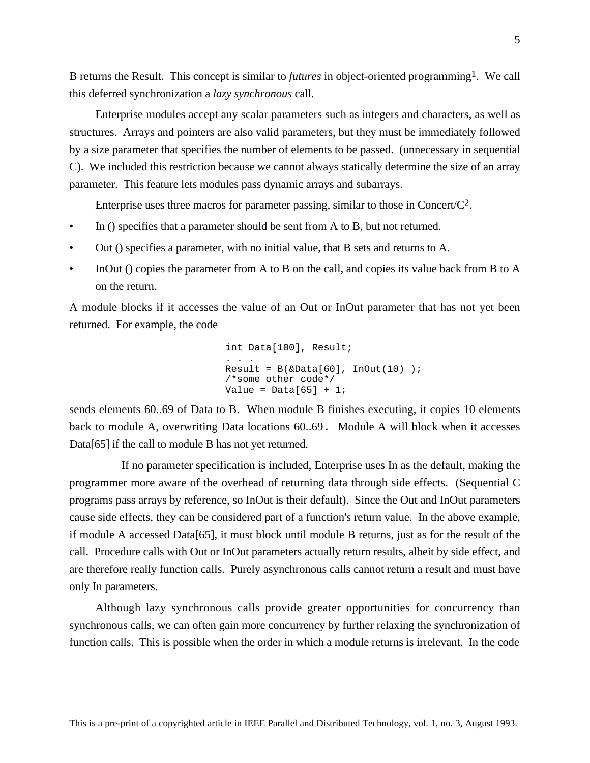B returns the Result. This concept is similar to *futures* in object-oriented programming1. We call this deferred synchronization a *lazy synchronous* call.

Enterprise modules accept any scalar parameters such as integers and characters, as well as structures. Arrays and pointers are also valid parameters, but they must be immediately followed by a size parameter that specifies the number of elements to be passed. (unnecessary in sequential C). We included this restriction because we cannot always statically determine the size of an array parameter. This feature lets modules pass dynamic arrays and subarrays.

Enterprise uses three macros for parameter passing, similar to those in Concert/ $C^2$ .

- In () specifies that a parameter should be sent from A to B, but not returned.
- Out () specifies a parameter, with no initial value, that B sets and returns to A.
- InOut () copies the parameter from A to B on the call, and copies its value back from B to A on the return.

A module blocks if it accesses the value of an Out or InOut parameter that has not yet been returned. For example, the code

```
int Data[100], Result;
. . .
Result = B(\&Data[60], InOut(10)) ;
/*some other code*/
Value = Data[65] + 1;
```
sends elements 60..69 of Data to B. When module B finishes executing, it copies 10 elements back to module A, overwriting Data locations 60..69. Module A will block when it accesses Data[65] if the call to module B has not yet returned.

If no parameter specification is included, Enterprise uses In as the default, making the programmer more aware of the overhead of returning data through side effects. (Sequential C programs pass arrays by reference, so InOut is their default). Since the Out and InOut parameters cause side effects, they can be considered part of a function's return value. In the above example, if module A accessed Data[65], it must block until module B returns, just as for the result of the call. Procedure calls with Out or InOut parameters actually return results, albeit by side effect, and are therefore really function calls. Purely asynchronous calls cannot return a result and must have only In parameters.

Although lazy synchronous calls provide greater opportunities for concurrency than synchronous calls, we can often gain more concurrency by further relaxing the synchronization of function calls. This is possible when the order in which a module returns is irrelevant. In the code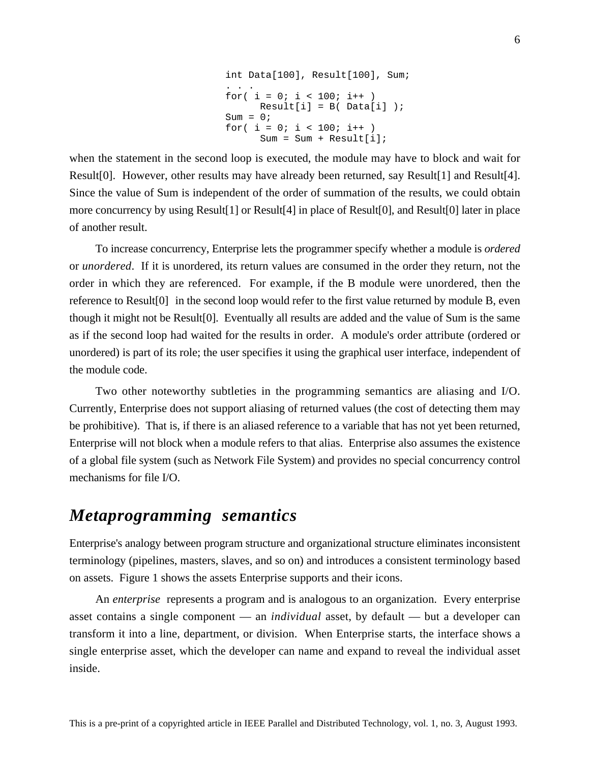```
int Data[100], Result[100], Sum;
. . .
for( i = 0; i < 100; i++ )
    Result[i] = B( Data[i]);
Sum = 0;for( i = 0; i < 100; i++ )
      Sum = Sum + Result[i];
```
when the statement in the second loop is executed, the module may have to block and wait for Result[0]. However, other results may have already been returned, say Result[1] and Result[4]. Since the value of Sum is independent of the order of summation of the results, we could obtain more concurrency by using Result[1] or Result[4] in place of Result[0], and Result[0] later in place of another result.

To increase concurrency, Enterprise lets the programmer specify whether a module is *ordered* or *unordered*. If it is unordered, its return values are consumed in the order they return, not the order in which they are referenced. For example, if the B module were unordered, then the reference to Result[0] in the second loop would refer to the first value returned by module B, even though it might not be Result[0]. Eventually all results are added and the value of Sum is the same as if the second loop had waited for the results in order. A module's order attribute (ordered or unordered) is part of its role; the user specifies it using the graphical user interface, independent of the module code.

Two other noteworthy subtleties in the programming semantics are aliasing and I/O. Currently, Enterprise does not support aliasing of returned values (the cost of detecting them may be prohibitive). That is, if there is an aliased reference to a variable that has not yet been returned, Enterprise will not block when a module refers to that alias. Enterprise also assumes the existence of a global file system (such as Network File System) and provides no special concurrency control mechanisms for file I/O.

### *Metaprogramming semantics*

Enterprise's analogy between program structure and organizational structure eliminates inconsistent terminology (pipelines, masters, slaves, and so on) and introduces a consistent terminology based on assets. Figure 1 shows the assets Enterprise supports and their icons.

An *enterprise* represents a program and is analogous to an organization. Every enterprise asset contains a single component — an *individual* asset, by default — but a developer can transform it into a line, department, or division. When Enterprise starts, the interface shows a single enterprise asset, which the developer can name and expand to reveal the individual asset inside.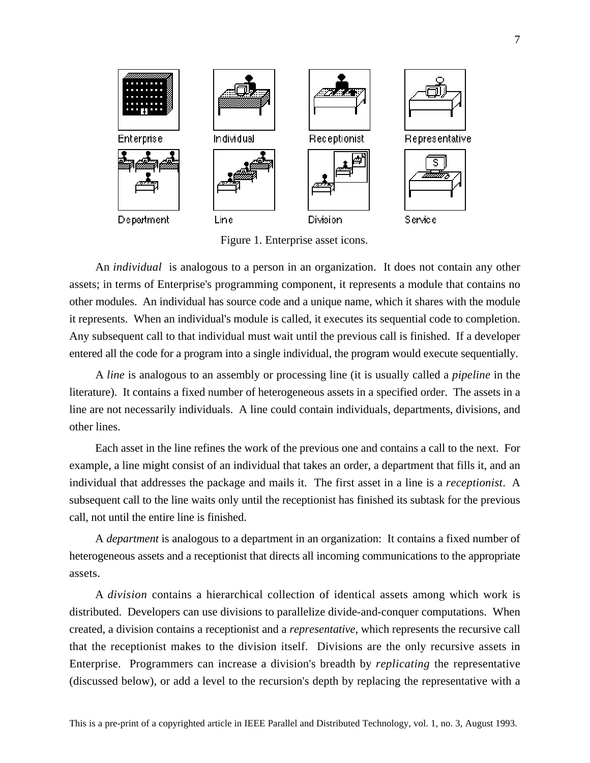

Figure 1. Enterprise asset icons.

An *individual* is analogous to a person in an organization. It does not contain any other assets; in terms of Enterprise's programming component, it represents a module that contains no other modules. An individual has source code and a unique name, which it shares with the module it represents. When an individual's module is called, it executes its sequential code to completion. Any subsequent call to that individual must wait until the previous call is finished. If a developer entered all the code for a program into a single individual, the program would execute sequentially.

A *line* is analogous to an assembly or processing line (it is usually called a *pipeline* in the literature). It contains a fixed number of heterogeneous assets in a specified order. The assets in a line are not necessarily individuals. A line could contain individuals, departments, divisions, and other lines.

Each asset in the line refines the work of the previous one and contains a call to the next. For example, a line might consist of an individual that takes an order, a department that fills it, and an individual that addresses the package and mails it. The first asset in a line is a *receptionist*. A subsequent call to the line waits only until the receptionist has finished its subtask for the previous call, not until the entire line is finished.

A *department* is analogous to a department in an organization: It contains a fixed number of heterogeneous assets and a receptionist that directs all incoming communications to the appropriate assets.

A *division* contains a hierarchical collection of identical assets among which work is distributed. Developers can use divisions to parallelize divide-and-conquer computations. When created, a division contains a receptionist and a *representative*, which represents the recursive call that the receptionist makes to the division itself. Divisions are the only recursive assets in Enterprise. Programmers can increase a division's breadth by *replicating* the representative (discussed below), or add a level to the recursion's depth by replacing the representative with a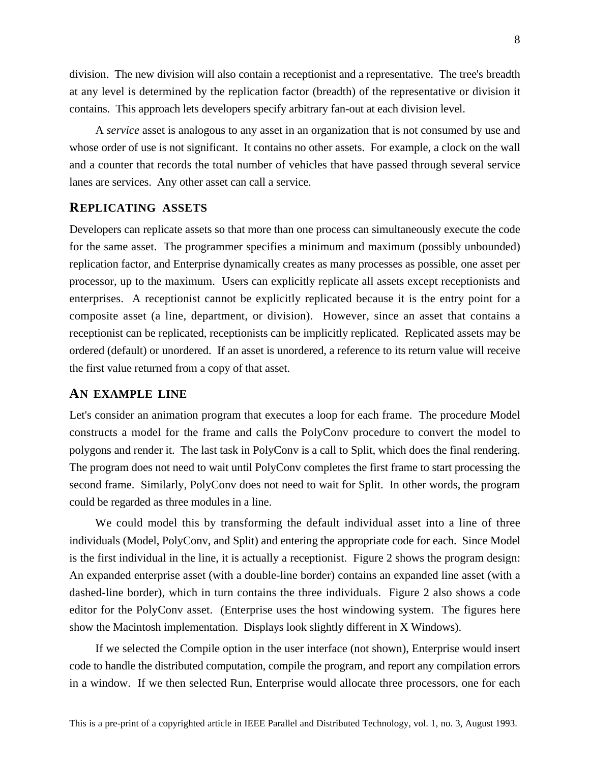division. The new division will also contain a receptionist and a representative. The tree's breadth at any level is determined by the replication factor (breadth) of the representative or division it contains. This approach lets developers specify arbitrary fan-out at each division level.

A *service* asset is analogous to any asset in an organization that is not consumed by use and whose order of use is not significant. It contains no other assets. For example, a clock on the wall and a counter that records the total number of vehicles that have passed through several service lanes are services. Any other asset can call a service.

#### **REPLICATING ASSETS**

Developers can replicate assets so that more than one process can simultaneously execute the code for the same asset. The programmer specifies a minimum and maximum (possibly unbounded) replication factor, and Enterprise dynamically creates as many processes as possible, one asset per processor, up to the maximum. Users can explicitly replicate all assets except receptionists and enterprises. A receptionist cannot be explicitly replicated because it is the entry point for a composite asset (a line, department, or division). However, since an asset that contains a receptionist can be replicated, receptionists can be implicitly replicated. Replicated assets may be ordered (default) or unordered. If an asset is unordered, a reference to its return value will receive the first value returned from a copy of that asset.

#### **AN EXAMPLE LINE**

Let's consider an animation program that executes a loop for each frame. The procedure Model constructs a model for the frame and calls the PolyConv procedure to convert the model to polygons and render it. The last task in PolyConv is a call to Split, which does the final rendering. The program does not need to wait until PolyConv completes the first frame to start processing the second frame. Similarly, PolyConv does not need to wait for Split. In other words, the program could be regarded as three modules in a line.

We could model this by transforming the default individual asset into a line of three individuals (Model, PolyConv, and Split) and entering the appropriate code for each. Since Model is the first individual in the line, it is actually a receptionist. Figure 2 shows the program design: An expanded enterprise asset (with a double-line border) contains an expanded line asset (with a dashed-line border), which in turn contains the three individuals. Figure 2 also shows a code editor for the PolyConv asset. (Enterprise uses the host windowing system. The figures here show the Macintosh implementation. Displays look slightly different in X Windows).

If we selected the Compile option in the user interface (not shown), Enterprise would insert code to handle the distributed computation, compile the program, and report any compilation errors in a window. If we then selected Run, Enterprise would allocate three processors, one for each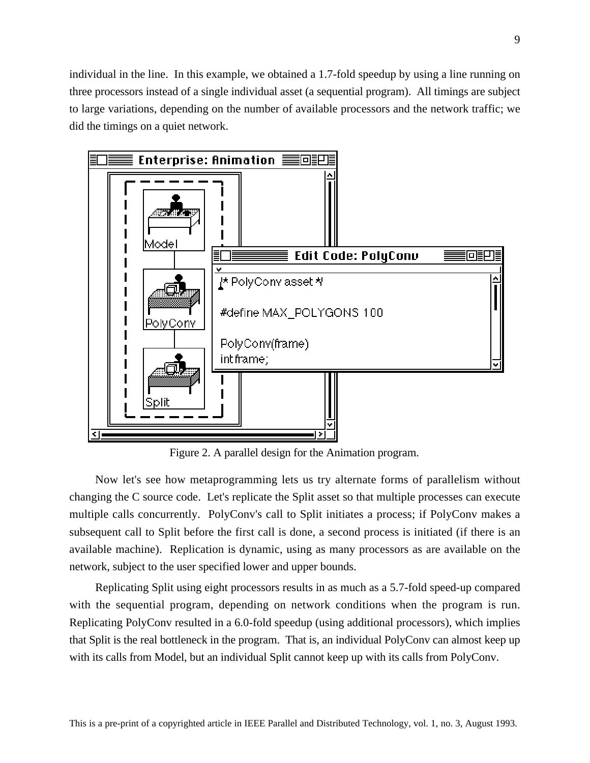individual in the line. In this example, we obtained a 1.7-fold speedup by using a line running on three processors instead of a single individual asset (a sequential program). All timings are subject to large variations, depending on the number of available processors and the network traffic; we did the timings on a quiet network.



Figure 2. A parallel design for the Animation program.

Now let's see how metaprogramming lets us try alternate forms of parallelism without changing the C source code. Let's replicate the Split asset so that multiple processes can execute multiple calls concurrently. PolyConv's call to Split initiates a process; if PolyConv makes a subsequent call to Split before the first call is done, a second process is initiated (if there is an available machine). Replication is dynamic, using as many processors as are available on the network, subject to the user specified lower and upper bounds.

Replicating Split using eight processors results in as much as a 5.7-fold speed-up compared with the sequential program, depending on network conditions when the program is run. Replicating PolyConv resulted in a 6.0-fold speedup (using additional processors), which implies that Split is the real bottleneck in the program. That is, an individual PolyConv can almost keep up with its calls from Model, but an individual Split cannot keep up with its calls from PolyConv.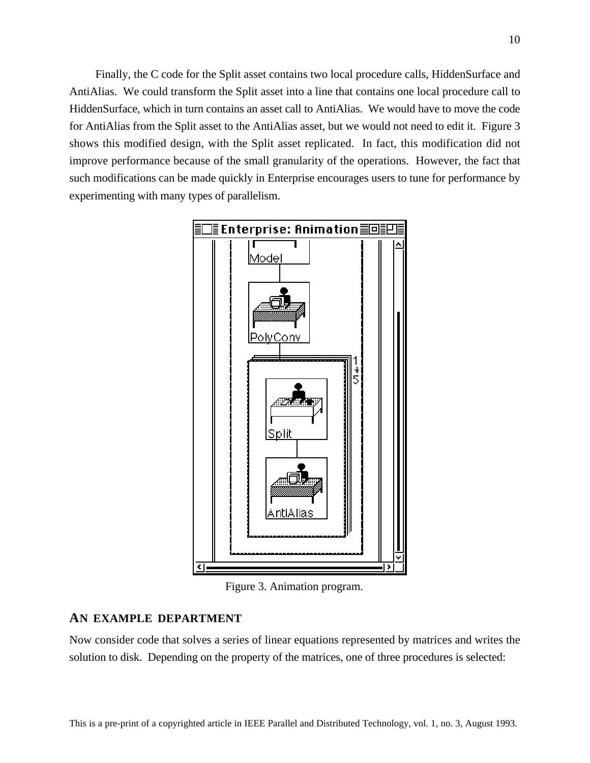Finally, the C code for the Split asset contains two local procedure calls, HiddenSurface and AntiAlias. We could transform the Split asset into a line that contains one local procedure call to HiddenSurface, which in turn contains an asset call to AntiAlias. We would have to move the code for AntiAlias from the Split asset to the AntiAlias asset, but we would not need to edit it. Figure 3 shows this modified design, with the Split asset replicated. In fact, this modification did not improve performance because of the small granularity of the operations. However, the fact that such modifications can be made quickly in Enterprise encourages users to tune for performance by experimenting with many types of parallelism.



Figure 3. Animation program.

#### **AN EXAMPLE DEPARTMENT**

Now consider code that solves a series of linear equations represented by matrices and writes the solution to disk. Depending on the property of the matrices, one of three procedures is selected: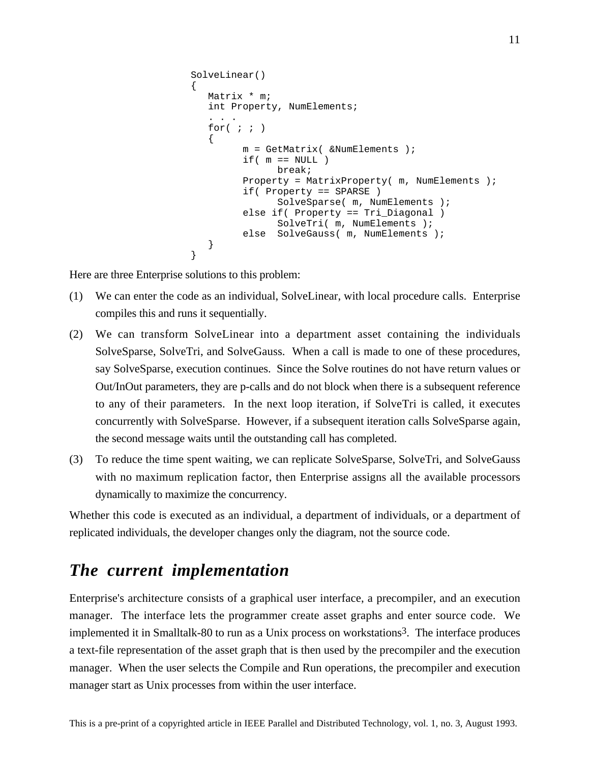```
SolveLinear()
\left\{ \right.Matrix * m;
  int Property, NumElements;
   . . .
  for(i ; ){
         m = GetMatrix( &NumElements );
         if( m == NULL )break;
         Property = MatrixProperty( m, NumElements );
         if( Property == SPARSE )
               SolveSparse( m, NumElements );
         else if( Property == Tri_Diagonal )
              SolveTri(m, NumElements);
         else SolveGauss( m, NumElements );
   }
}
```
Here are three Enterprise solutions to this problem:

- (1) We can enter the code as an individual, SolveLinear, with local procedure calls. Enterprise compiles this and runs it sequentially.
- (2) We can transform SolveLinear into a department asset containing the individuals SolveSparse, SolveTri, and SolveGauss. When a call is made to one of these procedures, say SolveSparse, execution continues. Since the Solve routines do not have return values or Out/InOut parameters, they are p-calls and do not block when there is a subsequent reference to any of their parameters. In the next loop iteration, if SolveTri is called, it executes concurrently with SolveSparse. However, if a subsequent iteration calls SolveSparse again, the second message waits until the outstanding call has completed.
- (3) To reduce the time spent waiting, we can replicate SolveSparse, SolveTri, and SolveGauss with no maximum replication factor, then Enterprise assigns all the available processors dynamically to maximize the concurrency.

Whether this code is executed as an individual, a department of individuals, or a department of replicated individuals, the developer changes only the diagram, not the source code.

### *The current implementation*

Enterprise's architecture consists of a graphical user interface, a precompiler, and an execution manager. The interface lets the programmer create asset graphs and enter source code. We implemented it in Smalltalk-80 to run as a Unix process on workstations<sup>3</sup>. The interface produces a text-file representation of the asset graph that is then used by the precompiler and the execution manager. When the user selects the Compile and Run operations, the precompiler and execution manager start as Unix processes from within the user interface.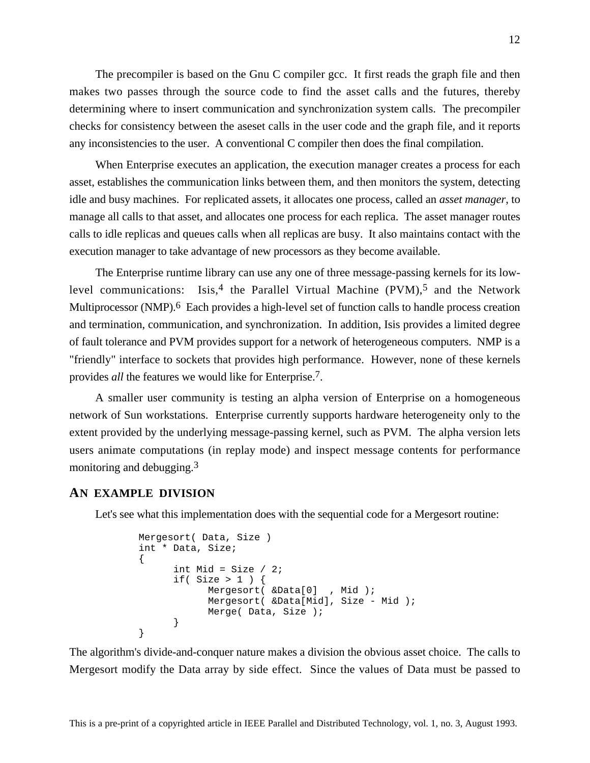The precompiler is based on the Gnu C compiler gcc. It first reads the graph file and then makes two passes through the source code to find the asset calls and the futures, thereby determining where to insert communication and synchronization system calls. The precompiler checks for consistency between the aseset calls in the user code and the graph file, and it reports any inconsistencies to the user. A conventional C compiler then does the final compilation.

When Enterprise executes an application, the execution manager creates a process for each asset, establishes the communication links between them, and then monitors the system, detecting idle and busy machines. For replicated assets, it allocates one process, called an *asset manager*, to manage all calls to that asset, and allocates one process for each replica. The asset manager routes calls to idle replicas and queues calls when all replicas are busy. It also maintains contact with the execution manager to take advantage of new processors as they become available.

The Enterprise runtime library can use any one of three message-passing kernels for its lowlevel communications: Isis,<sup>4</sup> the Parallel Virtual Machine  $(PVM)$ ,<sup>5</sup> and the Network Multiprocessor (NMP).<sup>6</sup> Each provides a high-level set of function calls to handle process creation and termination, communication, and synchronization. In addition, Isis provides a limited degree of fault tolerance and PVM provides support for a network of heterogeneous computers. NMP is a "friendly" interface to sockets that provides high performance. However, none of these kernels provides *all* the features we would like for Enterprise.7.

A smaller user community is testing an alpha version of Enterprise on a homogeneous network of Sun workstations. Enterprise currently supports hardware heterogeneity only to the extent provided by the underlying message-passing kernel, such as PVM. The alpha version lets users animate computations (in replay mode) and inspect message contents for performance monitoring and debugging.3

#### **AN EXAMPLE DIVISION**

Let's see what this implementation does with the sequential code for a Mergesort routine:

```
Mergesort( Data, Size )
int * Data, Size;
{
      int Mid = Size / 2iif( Size > 1 ) {
            Mergesort( &Data[0] , Mid );
            Mergesort( &Data[Mid], Size - Mid );
            Merge( Data, Size );
      }
}
```
The algorithm's divide-and-conquer nature makes a division the obvious asset choice. The calls to Mergesort modify the Data array by side effect. Since the values of Data must be passed to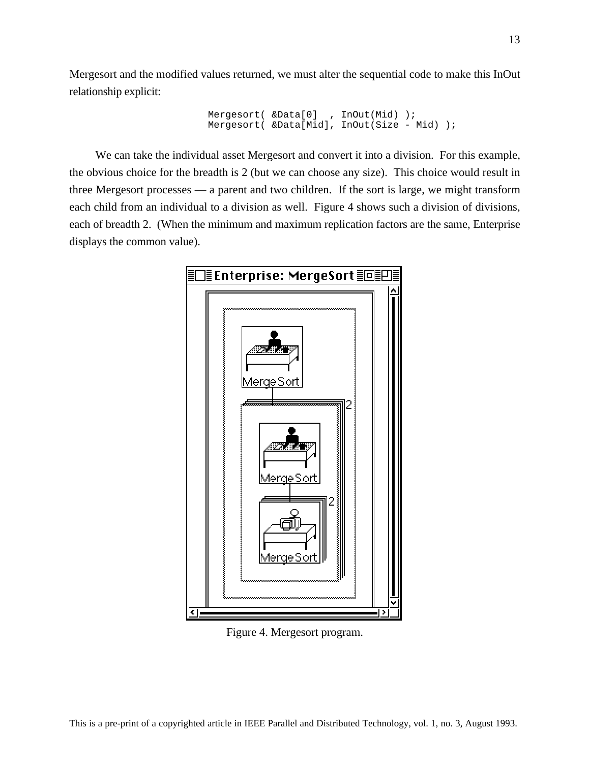Mergesort and the modified values returned, we must alter the sequential code to make this InOut relationship explicit:

```
Mergesort( &Data[0] , InOut(Mid) );
Mergesort( &Data[Mid], InOut(Size - Mid) );
```
We can take the individual asset Mergesort and convert it into a division. For this example, the obvious choice for the breadth is 2 (but we can choose any size). This choice would result in three Mergesort processes — a parent and two children. If the sort is large, we might transform each child from an individual to a division as well. Figure 4 shows such a division of divisions, each of breadth 2. (When the minimum and maximum replication factors are the same, Enterprise displays the common value).



Figure 4. Mergesort program.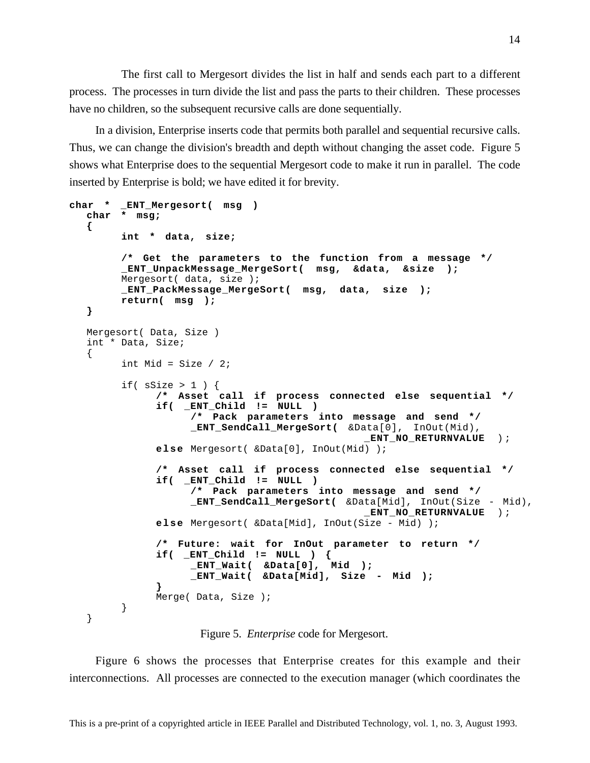The first call to Mergesort divides the list in half and sends each part to a different process. The processes in turn divide the list and pass the parts to their children. These processes have no children, so the subsequent recursive calls are done sequentially.

In a division, Enterprise inserts code that permits both parallel and sequential recursive calls. Thus, we can change the division's breadth and depth without changing the asset code. Figure 5 shows what Enterprise does to the sequential Mergesort code to make it run in parallel. The code inserted by Enterprise is bold; we have edited it for brevity.

```
char * _ENT_Mergesort( msg )
  char * msg;
  {
        int * data, size;
        /* Get the parameters to the function from a message */
        _ENT_UnpackMessage_MergeSort( msg, &data, &size );
        Mergesort( data, size );
        _ENT_PackMessage_MergeSort( msg, data, size );
        return( msg );
  }
  Mergesort( Data, Size )
  int * Data, Size;
  {
        int Mid = Size / 2iif( ssize > 1 ) {
             /* Asset call if process connected else sequential */
             if( _ENT_Child != NULL )
                   /* Pack parameters into message and send */
                   _ENT_SendCall_MergeSort( &Data[0], InOut(Mid),
                                              _ENT_NO_RETURNVALUE ) ;
             else Mergesort( &Data[0], InOut(Mid) );
             /* Asset call if process connected else sequential */
             if( _ENT_Child != NULL )
                   /* Pack parameters into message and send */
                   _ENT_SendCall_MergeSort( &Data[Mid], InOut(Size - Mid),
                                              _ENT_NO_RETURNVALUE ) ;
             else Mergesort( &Data[Mid], InOut(Size - Mid) );
             /* Future: wait for InOut parameter to return */
             if( _ENT_Child != NULL ) {
                   _ENT_Wait( &Data[0], Mid );
                   _ENT_Wait( &Data[Mid], Size - Mid );
             }
             Merge( Data, Size );
        }
  }
```
Figure 5. *Enterprise* code for Mergesort.

Figure 6 shows the processes that Enterprise creates for this example and their interconnections. All processes are connected to the execution manager (which coordinates the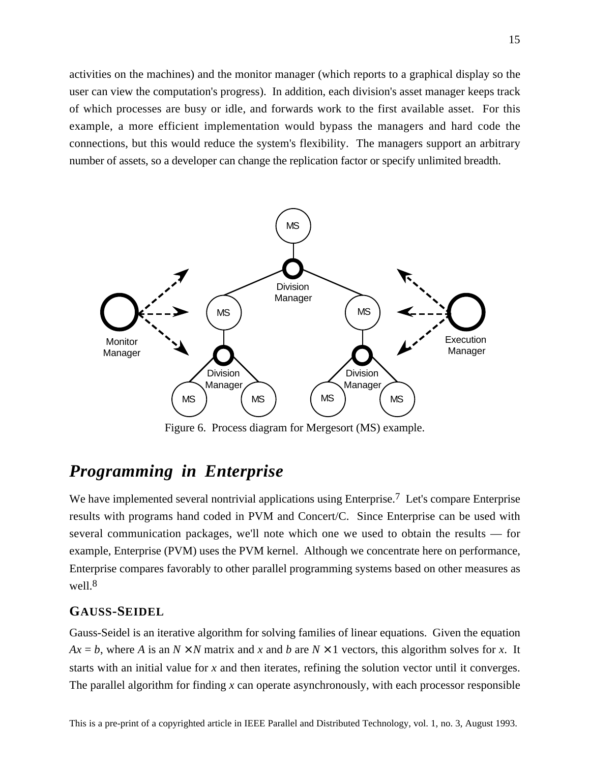activities on the machines) and the monitor manager (which reports to a graphical display so the user can view the computation's progress). In addition, each division's asset manager keeps track of which processes are busy or idle, and forwards work to the first available asset. For this example, a more efficient implementation would bypass the managers and hard code the connections, but this would reduce the system's flexibility. The managers support an arbitrary number of assets, so a developer can change the replication factor or specify unlimited breadth.



Figure 6. Process diagram for Mergesort (MS) example.

# *Programming in Enterprise*

We have implemented several nontrivial applications using Enterprise.<sup>7</sup> Let's compare Enterprise results with programs hand coded in PVM and Concert/C. Since Enterprise can be used with several communication packages, we'll note which one we used to obtain the results — for example, Enterprise (PVM) uses the PVM kernel. Although we concentrate here on performance, Enterprise compares favorably to other parallel programming systems based on other measures as well.<sup>8</sup>

#### **GAUSS-SEIDEL**

Gauss-Seidel is an iterative algorithm for solving families of linear equations. Given the equation  $Ax = b$ , where *A* is an  $N \times N$  matrix and *x* and *b* are  $N \times 1$  vectors, this algorithm solves for *x*. It starts with an initial value for *x* and then iterates, refining the solution vector until it converges. The parallel algorithm for finding *x* can operate asynchronously, with each processor responsible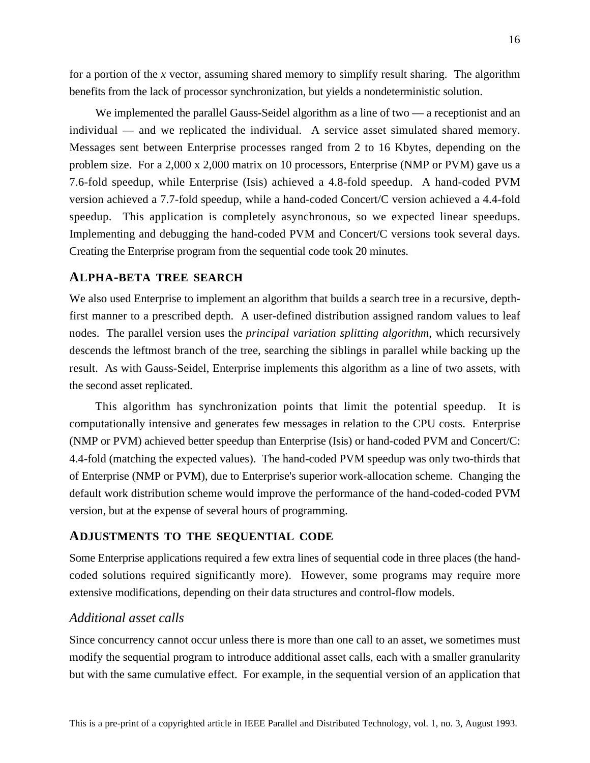for a portion of the *x* vector, assuming shared memory to simplify result sharing. The algorithm benefits from the lack of processor synchronization, but yields a nondeterministic solution.

We implemented the parallel Gauss-Seidel algorithm as a line of two — a receptionist and an individual — and we replicated the individual. A service asset simulated shared memory. Messages sent between Enterprise processes ranged from 2 to 16 Kbytes, depending on the problem size. For a 2,000 x 2,000 matrix on 10 processors, Enterprise (NMP or PVM) gave us a 7.6-fold speedup, while Enterprise (Isis) achieved a 4.8-fold speedup. A hand-coded PVM version achieved a 7.7-fold speedup, while a hand-coded Concert/C version achieved a 4.4-fold speedup. This application is completely asynchronous, so we expected linear speedups. Implementing and debugging the hand-coded PVM and Concert/C versions took several days. Creating the Enterprise program from the sequential code took 20 minutes.

#### **ALPHA-BETA TREE SEARCH**

We also used Enterprise to implement an algorithm that builds a search tree in a recursive, depthfirst manner to a prescribed depth. A user-defined distribution assigned random values to leaf nodes. The parallel version uses the *principal variation splitting algorithm*, which recursively descends the leftmost branch of the tree, searching the siblings in parallel while backing up the result. As with Gauss-Seidel, Enterprise implements this algorithm as a line of two assets, with the second asset replicated.

This algorithm has synchronization points that limit the potential speedup. It is computationally intensive and generates few messages in relation to the CPU costs. Enterprise (NMP or PVM) achieved better speedup than Enterprise (Isis) or hand-coded PVM and Concert/C: 4.4-fold (matching the expected values). The hand-coded PVM speedup was only two-thirds that of Enterprise (NMP or PVM), due to Enterprise's superior work-allocation scheme. Changing the default work distribution scheme would improve the performance of the hand-coded-coded PVM version, but at the expense of several hours of programming.

#### **ADJUSTMENTS TO THE SEQUENTIAL CODE**

Some Enterprise applications required a few extra lines of sequential code in three places (the handcoded solutions required significantly more). However, some programs may require more extensive modifications, depending on their data structures and control-flow models.

#### *Additional asset calls*

Since concurrency cannot occur unless there is more than one call to an asset, we sometimes must modify the sequential program to introduce additional asset calls, each with a smaller granularity but with the same cumulative effect. For example, in the sequential version of an application that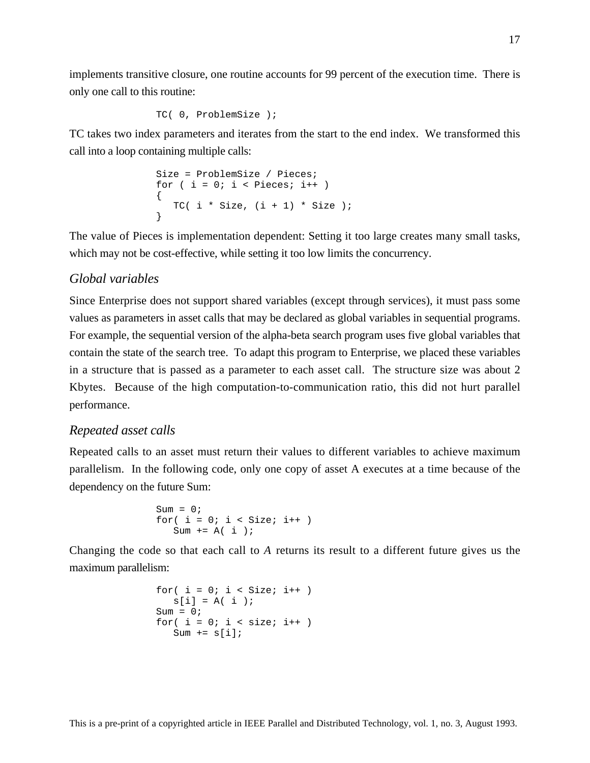implements transitive closure, one routine accounts for 99 percent of the execution time. There is only one call to this routine:

```
TC( 0, ProblemSize );
```
TC takes two index parameters and iterates from the start to the end index. We transformed this call into a loop containing multiple calls:

Size = ProblemSize / Pieces; for ( i = 0; i < Pieces; i++ ) { TC( i \* Size, (i + 1) \* Size ); }

The value of Pieces is implementation dependent: Setting it too large creates many small tasks, which may not be cost-effective, while setting it too low limits the concurrency.

### *Global variables*

Since Enterprise does not support shared variables (except through services), it must pass some values as parameters in asset calls that may be declared as global variables in sequential programs. For example, the sequential version of the alpha-beta search program uses five global variables that contain the state of the search tree. To adapt this program to Enterprise, we placed these variables in a structure that is passed as a parameter to each asset call. The structure size was about 2 Kbytes. Because of the high computation-to-communication ratio, this did not hurt parallel performance.

#### *Repeated asset calls*

Repeated calls to an asset must return their values to different variables to achieve maximum parallelism. In the following code, only one copy of asset A executes at a time because of the dependency on the future Sum:

$$
Sum = 0;
$$
  
for( i = 0; i < Size; i++)  
Sum += A(i);

Changing the code so that each call to *A* returns its result to a different future gives us the maximum parallelism:

```
for( i = 0; i < Size; i++ )
  s[i] = A(i);
Sum = 0;for( i = 0; i < size; i++ )
  Sum += s[i];
```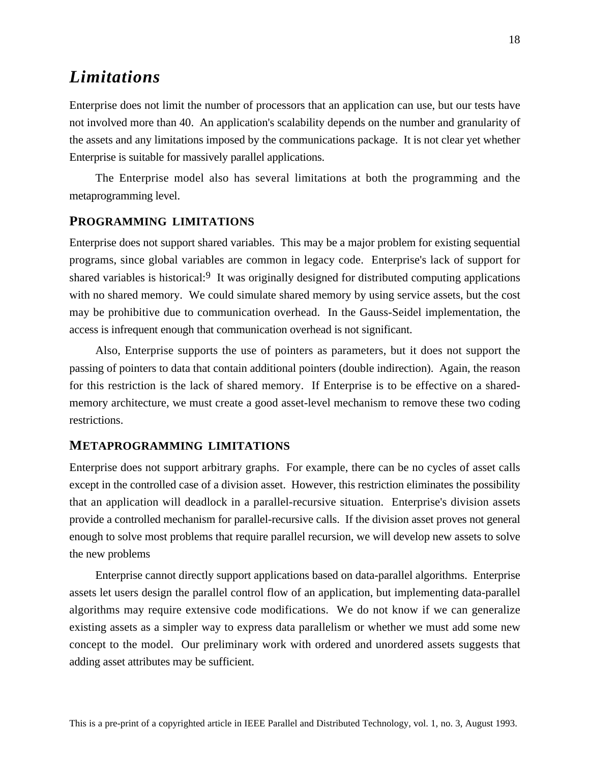# *Limitations*

Enterprise does not limit the number of processors that an application can use, but our tests have not involved more than 40. An application's scalability depends on the number and granularity of the assets and any limitations imposed by the communications package. It is not clear yet whether Enterprise is suitable for massively parallel applications.

The Enterprise model also has several limitations at both the programming and the metaprogramming level.

#### **PROGRAMMING LIMITATIONS**

Enterprise does not support shared variables. This may be a major problem for existing sequential programs, since global variables are common in legacy code. Enterprise's lack of support for shared variables is historical:<sup>9</sup> It was originally designed for distributed computing applications with no shared memory. We could simulate shared memory by using service assets, but the cost may be prohibitive due to communication overhead. In the Gauss-Seidel implementation, the access is infrequent enough that communication overhead is not significant.

Also, Enterprise supports the use of pointers as parameters, but it does not support the passing of pointers to data that contain additional pointers (double indirection). Again, the reason for this restriction is the lack of shared memory. If Enterprise is to be effective on a sharedmemory architecture, we must create a good asset-level mechanism to remove these two coding restrictions.

#### **METAPROGRAMMING LIMITATIONS**

Enterprise does not support arbitrary graphs. For example, there can be no cycles of asset calls except in the controlled case of a division asset. However, this restriction eliminates the possibility that an application will deadlock in a parallel-recursive situation. Enterprise's division assets provide a controlled mechanism for parallel-recursive calls. If the division asset proves not general enough to solve most problems that require parallel recursion, we will develop new assets to solve the new problems

Enterprise cannot directly support applications based on data-parallel algorithms. Enterprise assets let users design the parallel control flow of an application, but implementing data-parallel algorithms may require extensive code modifications. We do not know if we can generalize existing assets as a simpler way to express data parallelism or whether we must add some new concept to the model. Our preliminary work with ordered and unordered assets suggests that adding asset attributes may be sufficient.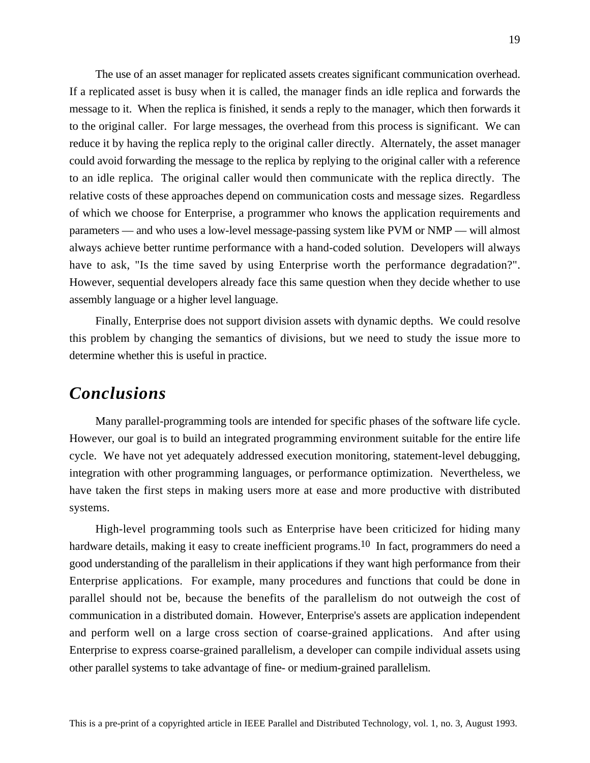The use of an asset manager for replicated assets creates significant communication overhead. If a replicated asset is busy when it is called, the manager finds an idle replica and forwards the message to it. When the replica is finished, it sends a reply to the manager, which then forwards it to the original caller. For large messages, the overhead from this process is significant. We can reduce it by having the replica reply to the original caller directly. Alternately, the asset manager could avoid forwarding the message to the replica by replying to the original caller with a reference to an idle replica. The original caller would then communicate with the replica directly. The relative costs of these approaches depend on communication costs and message sizes. Regardless of which we choose for Enterprise, a programmer who knows the application requirements and parameters — and who uses a low-level message-passing system like PVM or NMP — will almost always achieve better runtime performance with a hand-coded solution. Developers will always have to ask, "Is the time saved by using Enterprise worth the performance degradation?". However, sequential developers already face this same question when they decide whether to use assembly language or a higher level language.

Finally, Enterprise does not support division assets with dynamic depths. We could resolve this problem by changing the semantics of divisions, but we need to study the issue more to determine whether this is useful in practice.

### *Conclusions*

Many parallel-programming tools are intended for specific phases of the software life cycle. However, our goal is to build an integrated programming environment suitable for the entire life cycle. We have not yet adequately addressed execution monitoring, statement-level debugging, integration with other programming languages, or performance optimization. Nevertheless, we have taken the first steps in making users more at ease and more productive with distributed systems.

High-level programming tools such as Enterprise have been criticized for hiding many hardware details, making it easy to create inefficient programs.<sup>10</sup> In fact, programmers do need a good understanding of the parallelism in their applications if they want high performance from their Enterprise applications. For example, many procedures and functions that could be done in parallel should not be, because the benefits of the parallelism do not outweigh the cost of communication in a distributed domain. However, Enterprise's assets are application independent and perform well on a large cross section of coarse-grained applications. And after using Enterprise to express coarse-grained parallelism, a developer can compile individual assets using other parallel systems to take advantage of fine- or medium-grained parallelism.